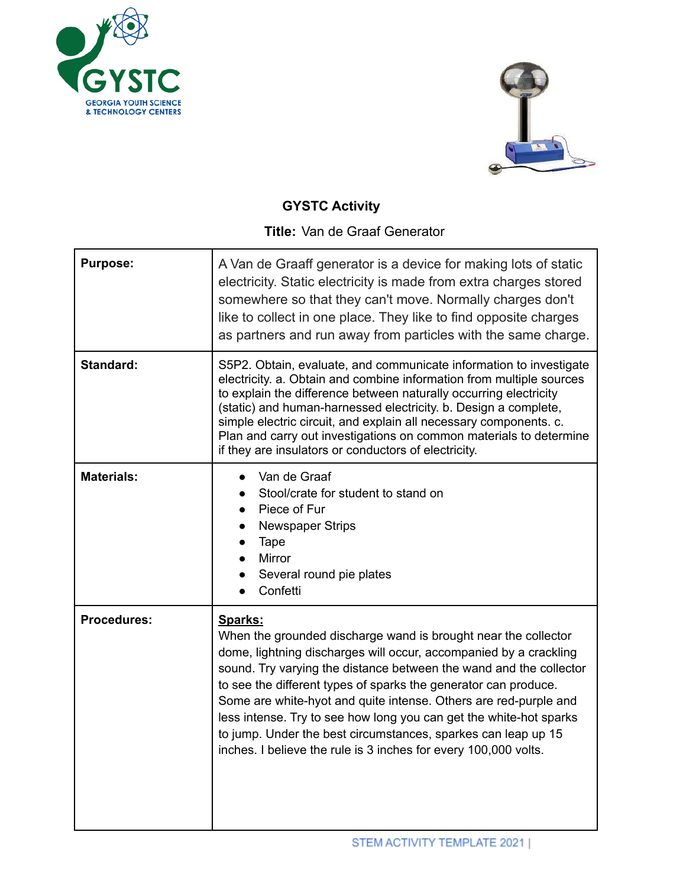



## **GYSTC Activity**

## **Title:** Van de Graaf Generator

| <b>Purpose:</b>    | A Van de Graaff generator is a device for making lots of static<br>electricity. Static electricity is made from extra charges stored<br>somewhere so that they can't move. Normally charges don't<br>like to collect in one place. They like to find opposite charges<br>as partners and run away from particles with the same charge.                                                                                                                                                                                                                                |
|--------------------|-----------------------------------------------------------------------------------------------------------------------------------------------------------------------------------------------------------------------------------------------------------------------------------------------------------------------------------------------------------------------------------------------------------------------------------------------------------------------------------------------------------------------------------------------------------------------|
| Standard:          | S5P2. Obtain, evaluate, and communicate information to investigate<br>electricity. a. Obtain and combine information from multiple sources<br>to explain the difference between naturally occurring electricity<br>(static) and human-harnessed electricity. b. Design a complete,<br>simple electric circuit, and explain all necessary components. c.<br>Plan and carry out investigations on common materials to determine<br>if they are insulators or conductors of electricity.                                                                                 |
| <b>Materials:</b>  | Van de Graaf<br>Stool/crate for student to stand on<br>Piece of Fur<br>Newspaper Strips<br>Tape<br>Mirror<br>Several round pie plates<br>Confetti                                                                                                                                                                                                                                                                                                                                                                                                                     |
| <b>Procedures:</b> | Sparks:<br>When the grounded discharge wand is brought near the collector<br>dome, lightning discharges will occur, accompanied by a crackling<br>sound. Try varying the distance between the wand and the collector<br>to see the different types of sparks the generator can produce.<br>Some are white-hyot and quite intense. Others are red-purple and<br>less intense. Try to see how long you can get the white-hot sparks<br>to jump. Under the best circumstances, sparkes can leap up 15<br>inches. I believe the rule is 3 inches for every 100,000 volts. |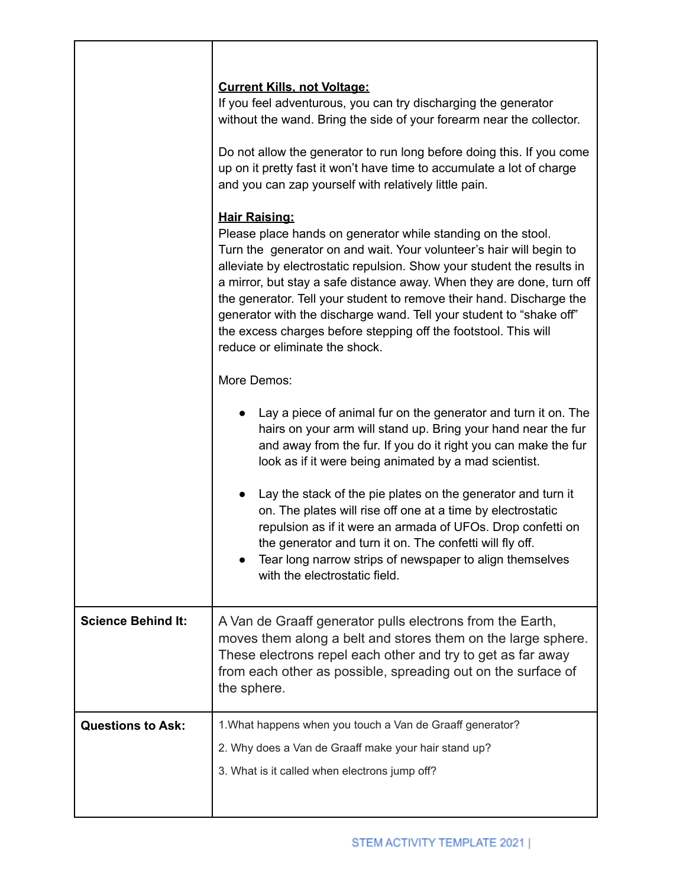|                           | <b>Current Kills, not Voltage:</b><br>If you feel adventurous, you can try discharging the generator<br>without the wand. Bring the side of your forearm near the collector.<br>Do not allow the generator to run long before doing this. If you come<br>up on it pretty fast it won't have time to accumulate a lot of charge<br>and you can zap yourself with relatively little pain.<br><b>Hair Raising:</b><br>Please place hands on generator while standing on the stool.<br>Turn the generator on and wait. Your volunteer's hair will begin to<br>alleviate by electrostatic repulsion. Show your student the results in<br>a mirror, but stay a safe distance away. When they are done, turn off<br>the generator. Tell your student to remove their hand. Discharge the<br>generator with the discharge wand. Tell your student to "shake off"<br>the excess charges before stepping off the footstool. This will<br>reduce or eliminate the shock. |
|---------------------------|---------------------------------------------------------------------------------------------------------------------------------------------------------------------------------------------------------------------------------------------------------------------------------------------------------------------------------------------------------------------------------------------------------------------------------------------------------------------------------------------------------------------------------------------------------------------------------------------------------------------------------------------------------------------------------------------------------------------------------------------------------------------------------------------------------------------------------------------------------------------------------------------------------------------------------------------------------------|
|                           | More Demos:                                                                                                                                                                                                                                                                                                                                                                                                                                                                                                                                                                                                                                                                                                                                                                                                                                                                                                                                                   |
|                           | Lay a piece of animal fur on the generator and turn it on. The<br>hairs on your arm will stand up. Bring your hand near the fur<br>and away from the fur. If you do it right you can make the fur<br>look as if it were being animated by a mad scientist.                                                                                                                                                                                                                                                                                                                                                                                                                                                                                                                                                                                                                                                                                                    |
|                           | Lay the stack of the pie plates on the generator and turn it<br>$\bullet$<br>on. The plates will rise off one at a time by electrostatic<br>repulsion as if it were an armada of UFOs. Drop confetti on<br>the generator and turn it on. The confetti will fly off.<br>Tear long narrow strips of newspaper to align themselves<br>with the electrostatic field.                                                                                                                                                                                                                                                                                                                                                                                                                                                                                                                                                                                              |
| <b>Science Behind It:</b> | A Van de Graaff generator pulls electrons from the Earth,<br>moves them along a belt and stores them on the large sphere.<br>These electrons repel each other and try to get as far away<br>from each other as possible, spreading out on the surface of<br>the sphere.                                                                                                                                                                                                                                                                                                                                                                                                                                                                                                                                                                                                                                                                                       |
| <b>Questions to Ask:</b>  | 1. What happens when you touch a Van de Graaff generator?                                                                                                                                                                                                                                                                                                                                                                                                                                                                                                                                                                                                                                                                                                                                                                                                                                                                                                     |
|                           | 2. Why does a Van de Graaff make your hair stand up?                                                                                                                                                                                                                                                                                                                                                                                                                                                                                                                                                                                                                                                                                                                                                                                                                                                                                                          |
|                           | 3. What is it called when electrons jump off?                                                                                                                                                                                                                                                                                                                                                                                                                                                                                                                                                                                                                                                                                                                                                                                                                                                                                                                 |
|                           |                                                                                                                                                                                                                                                                                                                                                                                                                                                                                                                                                                                                                                                                                                                                                                                                                                                                                                                                                               |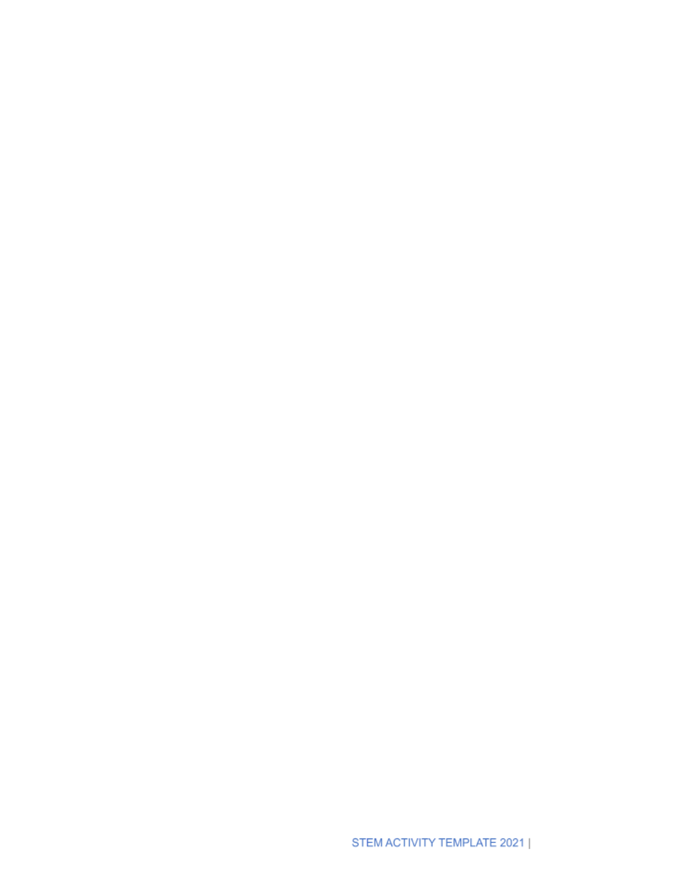STEM ACTIVITY TEMPLATE 2021 |